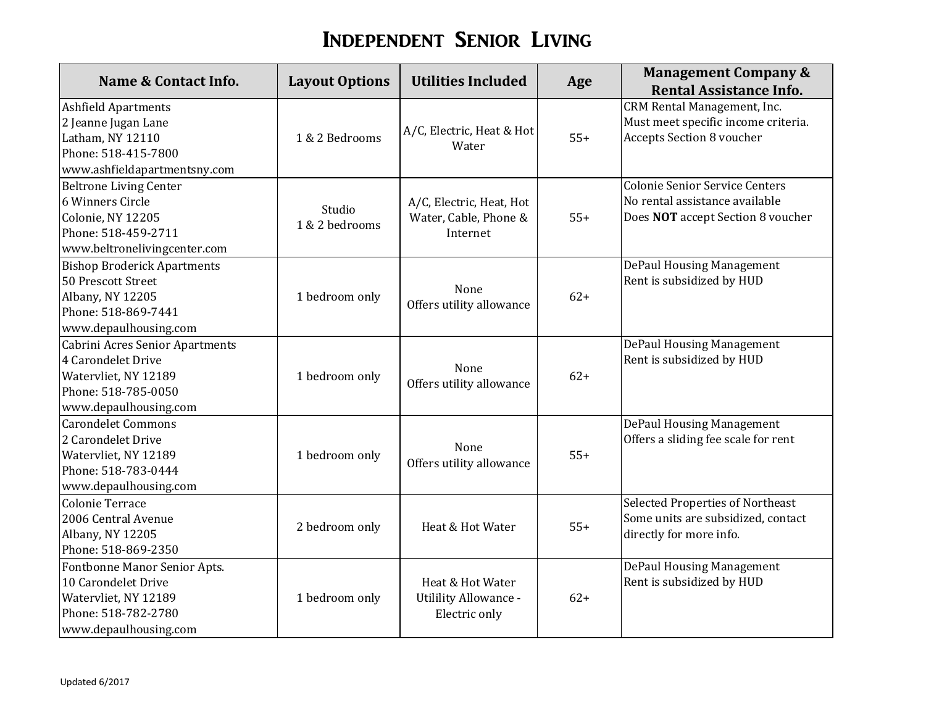## Independent Senior Living

| Name & Contact Info.                                                                                                          | <b>Layout Options</b>    | <b>Utilities Included</b>                                         | Age   | <b>Management Company &amp;</b><br><b>Rental Assistance Info.</b>                                            |
|-------------------------------------------------------------------------------------------------------------------------------|--------------------------|-------------------------------------------------------------------|-------|--------------------------------------------------------------------------------------------------------------|
| <b>Ashfield Apartments</b><br>2 Jeanne Jugan Lane<br>Latham, NY 12110<br>Phone: 518-415-7800<br>www.ashfieldapartmentsny.com  | 1 & 2 Bedrooms           | A/C, Electric, Heat & Hot<br>Water                                | $55+$ | CRM Rental Management, Inc.<br>Must meet specific income criteria.<br><b>Accepts Section 8 voucher</b>       |
| <b>Beltrone Living Center</b><br>6 Winners Circle<br>Colonie, NY 12205<br>Phone: 518-459-2711<br>www.beltronelivingcenter.com | Studio<br>1 & 2 bedrooms | A/C, Electric, Heat, Hot<br>Water, Cable, Phone &<br>Internet     | $55+$ | <b>Colonie Senior Service Centers</b><br>No rental assistance available<br>Does NOT accept Section 8 voucher |
| <b>Bishop Broderick Apartments</b><br>50 Prescott Street<br>Albany, NY 12205<br>Phone: 518-869-7441<br>www.depaulhousing.com  | 1 bedroom only           | None<br>Offers utility allowance                                  | $62+$ | DePaul Housing Management<br>Rent is subsidized by HUD                                                       |
| Cabrini Acres Senior Apartments<br>4 Carondelet Drive<br>Watervliet, NY 12189<br>Phone: 518-785-0050<br>www.depaulhousing.com | 1 bedroom only           | None<br>Offers utility allowance                                  | $62+$ | DePaul Housing Management<br>Rent is subsidized by HUD                                                       |
| <b>Carondelet Commons</b><br>2 Carondelet Drive<br>Watervliet, NY 12189<br>Phone: 518-783-0444<br>www.depaulhousing.com       | 1 bedroom only           | None<br>Offers utility allowance                                  | $55+$ | DePaul Housing Management<br>Offers a sliding fee scale for rent                                             |
| Colonie Terrace<br>2006 Central Avenue<br>Albany, NY 12205<br>Phone: 518-869-2350                                             | 2 bedroom only           | Heat & Hot Water                                                  | $55+$ | Selected Properties of Northeast<br>Some units are subsidized, contact<br>directly for more info.            |
| Fontbonne Manor Senior Apts.<br>10 Carondelet Drive<br>Watervliet, NY 12189<br>Phone: 518-782-2780<br>www.depaulhousing.com   | 1 bedroom only           | Heat & Hot Water<br><b>Utilility Allowance -</b><br>Electric only | $62+$ | DePaul Housing Management<br>Rent is subsidized by HUD                                                       |